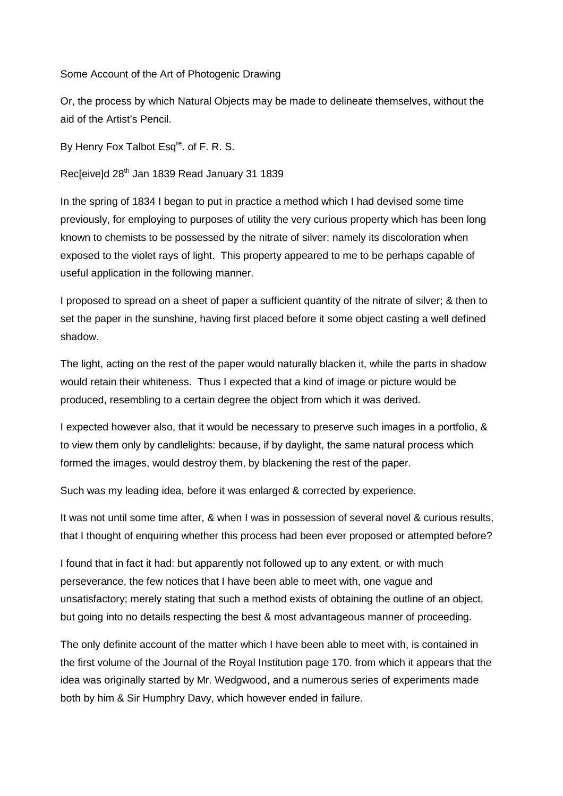Some Account of the Art of Photogenic Drawing

Or, the process by which Natural Objects may be made to delineate themselves, without the aid of the Artist's Pencil.

By Henry Fox Talbot Esq<sup>re</sup>. of F. R. S.

Recleiveld 28<sup>th</sup> Jan 1839 Read January 31 1839

In the spring of 1834 I began to put in practice a method which I had devised some time previously, for employing to purposes of utility the very curious property which has been long known to chemists to be possessed by the nitrate of silver: namely its discoloration when exposed to the violet rays of light. This property appeared to me to be perhaps capable of useful application in the following manner.

I proposed to spread on a sheet of paper a sufficient quantity of the nitrate of silver; & then to set the paper in the sunshine, having first placed before it some object casting a well defined shadow.

The light, acting on the rest of the paper would naturally blacken it, while the parts in shadow would retain their whiteness. Thus I expected that a kind of image or picture would be produced, resembling to a certain degree the object from which it was derived.

I expected however also, that it would be necessary to preserve such images in a portfolio, & to view them only by candlelights: because, if by daylight, the same natural process which formed the images, would destroy them, by blackening the rest of the paper.

Such was my leading idea, before it was enlarged & corrected by experience.

It was not until some time after, & when I was in possession of several novel & curious results, that I thought of enquiring whether this process had been ever proposed or attempted before?

I found that in fact it had: but apparently not followed up to any extent, or with much perseverance, the few notices that I have been able to meet with, one vague and unsatisfactory; merely stating that such a method exists of obtaining the outline of an object, but going into no details respecting the best & most advantageous manner of proceeding.

The only definite account of the matter which I have been able to meet with, is contained in the first volume of the Journal of the Royal Institution page 170. from which it appears that the idea was originally started by Mr. Wedgwood, and a numerous series of experiments made both by him & Sir Humphry Davy, which however ended in failure.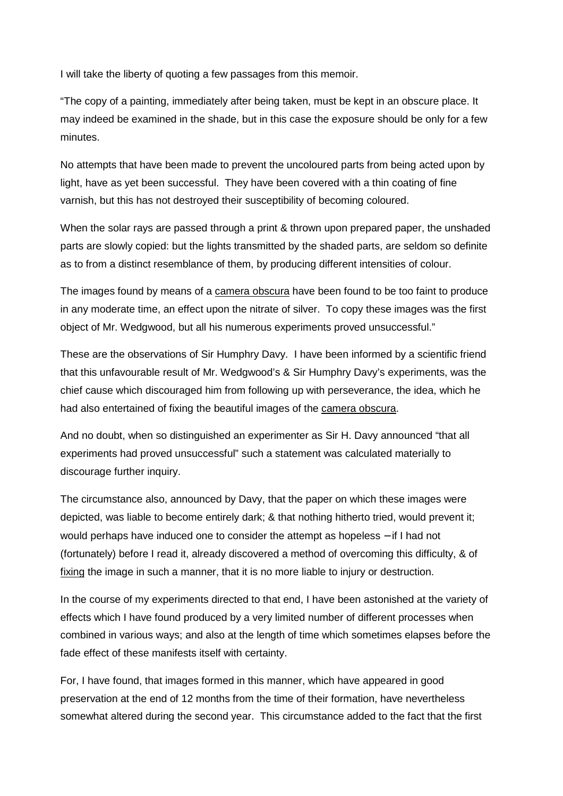I will take the liberty of quoting a few passages from this memoir.

"The copy of a painting, immediately after being taken, must be kept in an obscure place. It may indeed be examined in the shade, but in this case the exposure should be only for a few minutes.

No attempts that have been made to prevent the uncoloured parts from being acted upon by light, have as yet been successful. They have been covered with a thin coating of fine varnish, but this has not destroyed their susceptibility of becoming coloured.

When the solar rays are passed through a print & thrown upon prepared paper, the unshaded parts are slowly copied: but the lights transmitted by the shaded parts, are seldom so definite as to from a distinct resemblance of them, by producing different intensities of colour.

The images found by means of a camera obscura have been found to be too faint to produce in any moderate time, an effect upon the nitrate of silver. To copy these images was the first object of Mr. Wedgwood, but all his numerous experiments proved unsuccessful."

These are the observations of Sir Humphry Davy. I have been informed by a scientific friend that this unfavourable result of Mr. Wedgwood's & Sir Humphry Davy's experiments, was the chief cause which discouraged him from following up with perseverance, the idea, which he had also entertained of fixing the beautiful images of the camera obscura.

And no doubt, when so distinguished an experimenter as Sir H. Davy announced "that all experiments had proved unsuccessful" such a statement was calculated materially to discourage further inquiry.

The circumstance also, announced by Davy, that the paper on which these images were depicted, was liable to become entirely dark; & that nothing hitherto tried, would prevent it; would perhaps have induced one to consider the attempt as hopeless – if I had not (fortunately) before I read it, already discovered a method of overcoming this difficulty, & of fixing the image in such a manner, that it is no more liable to injury or destruction.

In the course of my experiments directed to that end, I have been astonished at the variety of effects which I have found produced by a very limited number of different processes when combined in various ways; and also at the length of time which sometimes elapses before the fade effect of these manifests itself with certainty.

For, I have found, that images formed in this manner, which have appeared in good preservation at the end of 12 months from the time of their formation, have nevertheless somewhat altered during the second year. This circumstance added to the fact that the first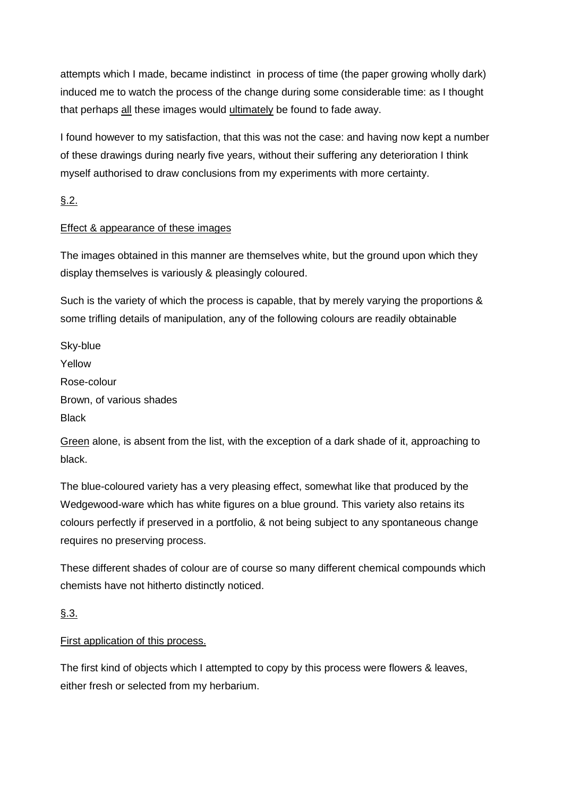attempts which I made, became indistinct in process of time (the paper growing wholly dark) induced me to watch the process of the change during some considerable time: as I thought that perhaps all these images would ultimately be found to fade away.

I found however to my satisfaction, that this was not the case: and having now kept a number of these drawings during nearly five years, without their suffering any deterioration I think myself authorised to draw conclusions from my experiments with more certainty.

 $§.2.$ 

# Effect & appearance of these images

The images obtained in this manner are themselves white, but the ground upon which they display themselves is variously & pleasingly coloured.

Such is the variety of which the process is capable, that by merely varying the proportions & some trifling details of manipulation, any of the following colours are readily obtainable

Sky-blue Yellow Rose-colour Brown, of various shades **Black** 

Green alone, is absent from the list, with the exception of a dark shade of it, approaching to black.

The blue-coloured variety has a very pleasing effect, somewhat like that produced by the Wedgewood-ware which has white figures on a blue ground. This variety also retains its colours perfectly if preserved in a portfolio, & not being subject to any spontaneous change requires no preserving process.

These different shades of colour are of course so many different chemical compounds which chemists have not hitherto distinctly noticed.

§.3.

# First application of this process.

The first kind of objects which I attempted to copy by this process were flowers & leaves, either fresh or selected from my herbarium.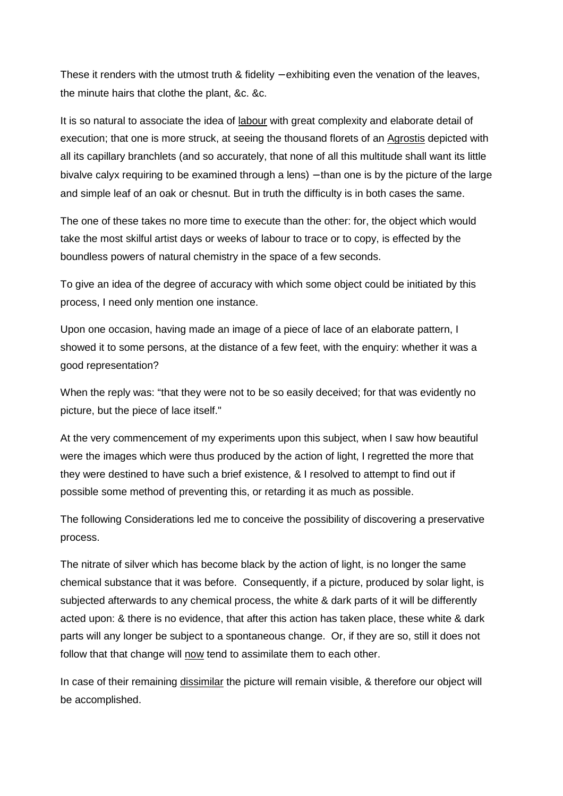These it renders with the utmost truth & fidelity – exhibiting even the venation of the leaves, the minute hairs that clothe the plant, &c. &c.

It is so natural to associate the idea of labour with great complexity and elaborate detail of execution; that one is more struck, at seeing the thousand florets of an Agrostis depicted with all its capillary branchlets (and so accurately, that none of all this multitude shall want its little bivalve calyx requiring to be examined through a lens) – than one is by the picture of the large and simple leaf of an oak or chesnut. But in truth the difficulty is in both cases the same.

The one of these takes no more time to execute than the other: for, the object which would take the most skilful artist days or weeks of labour to trace or to copy, is effected by the boundless powers of natural chemistry in the space of a few seconds.

To give an idea of the degree of accuracy with which some object could be initiated by this process, I need only mention one instance.

Upon one occasion, having made an image of a piece of lace of an elaborate pattern, I showed it to some persons, at the distance of a few feet, with the enquiry: whether it was a good representation?

When the reply was: "that they were not to be so easily deceived; for that was evidently no picture, but the piece of lace itself."

At the very commencement of my experiments upon this subject, when I saw how beautiful were the images which were thus produced by the action of light, I regretted the more that they were destined to have such a brief existence, & I resolved to attempt to find out if possible some method of preventing this, or retarding it as much as possible.

The following Considerations led me to conceive the possibility of discovering a preservative process.

The nitrate of silver which has become black by the action of light, is no longer the same chemical substance that it was before. Consequently, if a picture, produced by solar light, is subjected afterwards to any chemical process, the white & dark parts of it will be differently acted upon: & there is no evidence, that after this action has taken place, these white & dark parts will any longer be subject to a spontaneous change. Or, if they are so, still it does not follow that that change will now tend to assimilate them to each other.

In case of their remaining dissimilar the picture will remain visible, & therefore our object will be accomplished.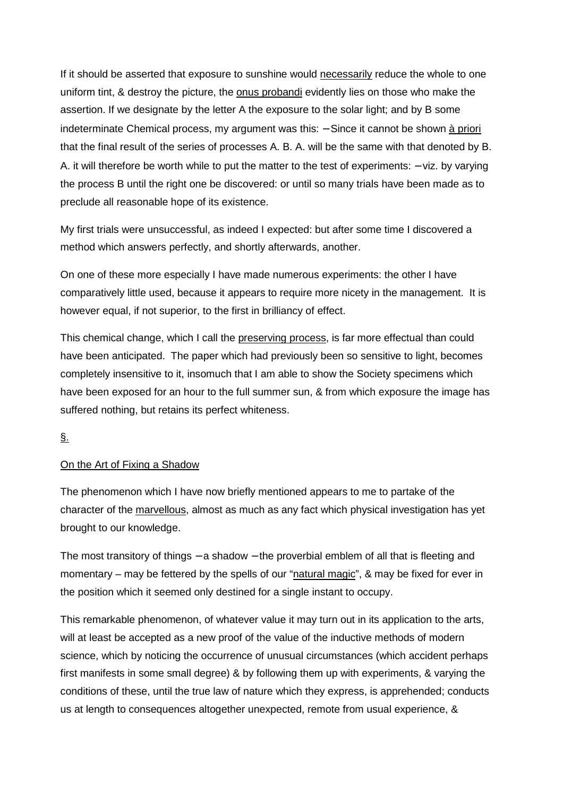If it should be asserted that exposure to sunshine would necessarily reduce the whole to one uniform tint, & destroy the picture, the onus probandi evidently lies on those who make the assertion. If we designate by the letter A the exposure to the solar light; and by B some indeterminate Chemical process, my argument was this: – Since it cannot be shown à priori that the final result of the series of processes A. B. A. will be the same with that denoted by B. A. it will therefore be worth while to put the matter to the test of experiments: – viz. by varying the process B until the right one be discovered: or until so many trials have been made as to preclude all reasonable hope of its existence.

My first trials were unsuccessful, as indeed I expected: but after some time I discovered a method which answers perfectly, and shortly afterwards, another.

On one of these more especially I have made numerous experiments: the other I have comparatively little used, because it appears to require more nicety in the management. It is however equal, if not superior, to the first in brilliancy of effect.

This chemical change, which I call the preserving process, is far more effectual than could have been anticipated. The paper which had previously been so sensitive to light, becomes completely insensitive to it, insomuch that I am able to show the Society specimens which have been exposed for an hour to the full summer sun, & from which exposure the image has suffered nothing, but retains its perfect whiteness.

§.

## On the Art of Fixing a Shadow

The phenomenon which I have now briefly mentioned appears to me to partake of the character of the marvellous, almost as much as any fact which physical investigation has yet brought to our knowledge.

The most transitory of things – a shadow – the proverbial emblem of all that is fleeting and momentary – may be fettered by the spells of our "natural magic", & may be fixed for ever in the position which it seemed only destined for a single instant to occupy.

This remarkable phenomenon, of whatever value it may turn out in its application to the arts, will at least be accepted as a new proof of the value of the inductive methods of modern science, which by noticing the occurrence of unusual circumstances (which accident perhaps first manifests in some small degree) & by following them up with experiments, & varying the conditions of these, until the true law of nature which they express, is apprehended; conducts us at length to consequences altogether unexpected, remote from usual experience, &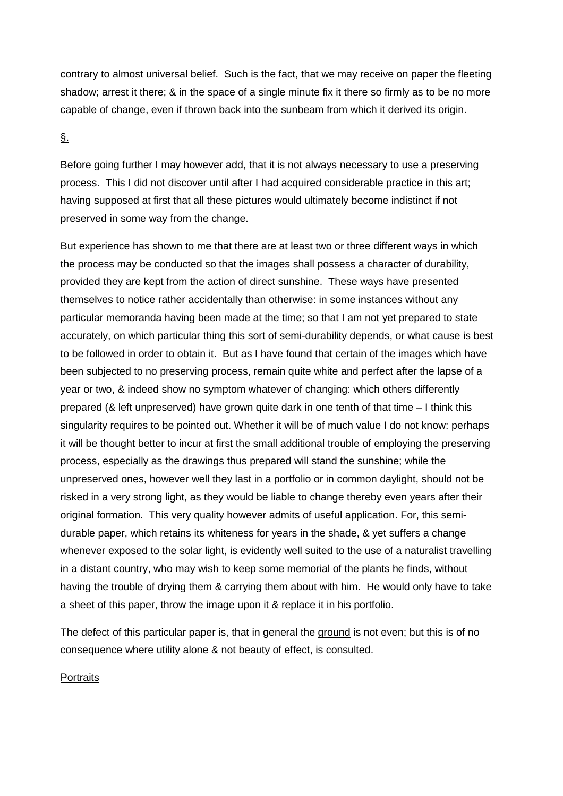contrary to almost universal belief. Such is the fact, that we may receive on paper the fleeting shadow; arrest it there; & in the space of a single minute fix it there so firmly as to be no more capable of change, even if thrown back into the sunbeam from which it derived its origin.

### §.

Before going further I may however add, that it is not always necessary to use a preserving process. This I did not discover until after I had acquired considerable practice in this art; having supposed at first that all these pictures would ultimately become indistinct if not preserved in some way from the change.

But experience has shown to me that there are at least two or three different ways in which the process may be conducted so that the images shall possess a character of durability, provided they are kept from the action of direct sunshine. These ways have presented themselves to notice rather accidentally than otherwise: in some instances without any particular memoranda having been made at the time; so that I am not yet prepared to state accurately, on which particular thing this sort of semi-durability depends, or what cause is best to be followed in order to obtain it. But as I have found that certain of the images which have been subjected to no preserving process, remain quite white and perfect after the lapse of a year or two, & indeed show no symptom whatever of changing: which others differently prepared (& left unpreserved) have grown quite dark in one tenth of that time – I think this singularity requires to be pointed out. Whether it will be of much value I do not know: perhaps it will be thought better to incur at first the small additional trouble of employing the preserving process, especially as the drawings thus prepared will stand the sunshine; while the unpreserved ones, however well they last in a portfolio or in common daylight, should not be risked in a very strong light, as they would be liable to change thereby even years after their original formation. This very quality however admits of useful application. For, this semidurable paper, which retains its whiteness for years in the shade, & yet suffers a change whenever exposed to the solar light, is evidently well suited to the use of a naturalist travelling in a distant country, who may wish to keep some memorial of the plants he finds, without having the trouble of drying them & carrying them about with him. He would only have to take a sheet of this paper, throw the image upon it & replace it in his portfolio.

The defect of this particular paper is, that in general the ground is not even; but this is of no consequence where utility alone & not beauty of effect, is consulted.

#### **Portraits**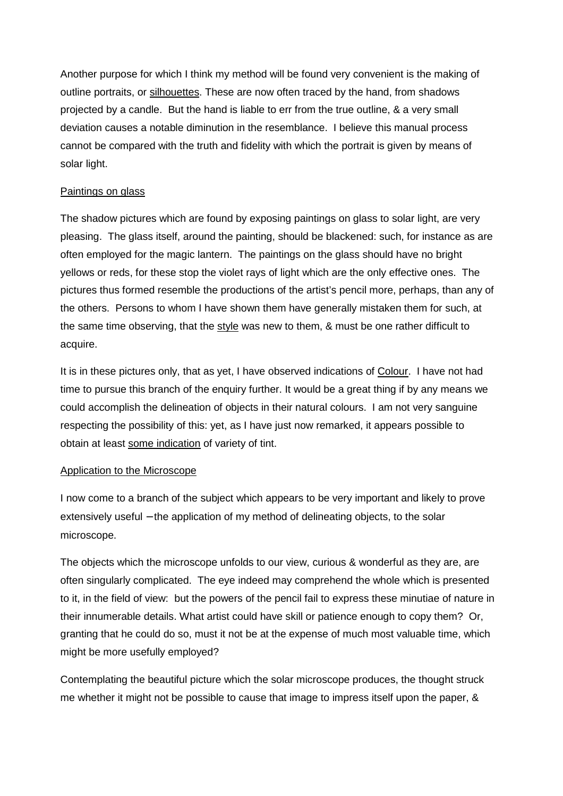Another purpose for which I think my method will be found very convenient is the making of outline portraits, or silhouettes. These are now often traced by the hand, from shadows projected by a candle. But the hand is liable to err from the true outline, & a very small deviation causes a notable diminution in the resemblance. I believe this manual process cannot be compared with the truth and fidelity with which the portrait is given by means of solar light.

### Paintings on glass

The shadow pictures which are found by exposing paintings on glass to solar light, are very pleasing. The glass itself, around the painting, should be blackened: such, for instance as are often employed for the magic lantern. The paintings on the glass should have no bright yellows or reds, for these stop the violet rays of light which are the only effective ones. The pictures thus formed resemble the productions of the artist's pencil more, perhaps, than any of the others. Persons to whom I have shown them have generally mistaken them for such, at the same time observing, that the style was new to them, & must be one rather difficult to acquire.

It is in these pictures only, that as yet, I have observed indications of Colour. I have not had time to pursue this branch of the enquiry further. It would be a great thing if by any means we could accomplish the delineation of objects in their natural colours. I am not very sanguine respecting the possibility of this: yet, as I have just now remarked, it appears possible to obtain at least some indication of variety of tint.

#### Application to the Microscope

I now come to a branch of the subject which appears to be very important and likely to prove extensively useful – the application of my method of delineating objects, to the solar microscope.

The objects which the microscope unfolds to our view, curious & wonderful as they are, are often singularly complicated. The eye indeed may comprehend the whole which is presented to it, in the field of view: but the powers of the pencil fail to express these minutiae of nature in their innumerable details. What artist could have skill or patience enough to copy them? Or, granting that he could do so, must it not be at the expense of much most valuable time, which might be more usefully employed?

Contemplating the beautiful picture which the solar microscope produces, the thought struck me whether it might not be possible to cause that image to impress itself upon the paper, &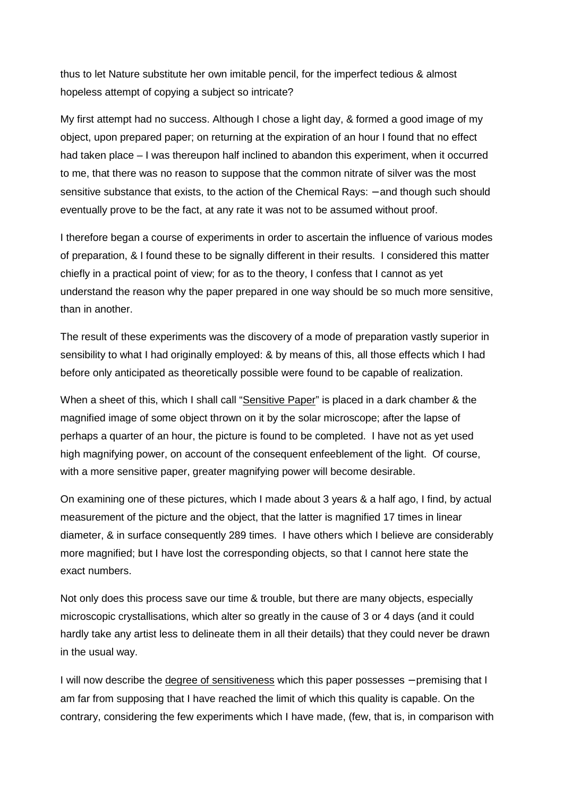thus to let Nature substitute her own imitable pencil, for the imperfect tedious & almost hopeless attempt of copying a subject so intricate?

My first attempt had no success. Although I chose a light day, & formed a good image of my object, upon prepared paper; on returning at the expiration of an hour I found that no effect had taken place – I was thereupon half inclined to abandon this experiment, when it occurred to me, that there was no reason to suppose that the common nitrate of silver was the most sensitive substance that exists, to the action of the Chemical Rays: – and though such should eventually prove to be the fact, at any rate it was not to be assumed without proof.

I therefore began a course of experiments in order to ascertain the influence of various modes of preparation, & I found these to be signally different in their results. I considered this matter chiefly in a practical point of view; for as to the theory, I confess that I cannot as yet understand the reason why the paper prepared in one way should be so much more sensitive, than in another.

The result of these experiments was the discovery of a mode of preparation vastly superior in sensibility to what I had originally employed: & by means of this, all those effects which I had before only anticipated as theoretically possible were found to be capable of realization.

When a sheet of this, which I shall call "Sensitive Paper" is placed in a dark chamber & the magnified image of some object thrown on it by the solar microscope; after the lapse of perhaps a quarter of an hour, the picture is found to be completed. I have not as yet used high magnifying power, on account of the consequent enfeeblement of the light. Of course, with a more sensitive paper, greater magnifying power will become desirable.

On examining one of these pictures, which I made about 3 years & a half ago, I find, by actual measurement of the picture and the object, that the latter is magnified 17 times in linear diameter, & in surface consequently 289 times. I have others which I believe are considerably more magnified; but I have lost the corresponding objects, so that I cannot here state the exact numbers.

Not only does this process save our time & trouble, but there are many objects, especially microscopic crystallisations, which alter so greatly in the cause of 3 or 4 days (and it could hardly take any artist less to delineate them in all their details) that they could never be drawn in the usual way.

I will now describe the degree of sensitiveness which this paper possesses − premising that I am far from supposing that I have reached the limit of which this quality is capable. On the contrary, considering the few experiments which I have made, (few, that is, in comparison with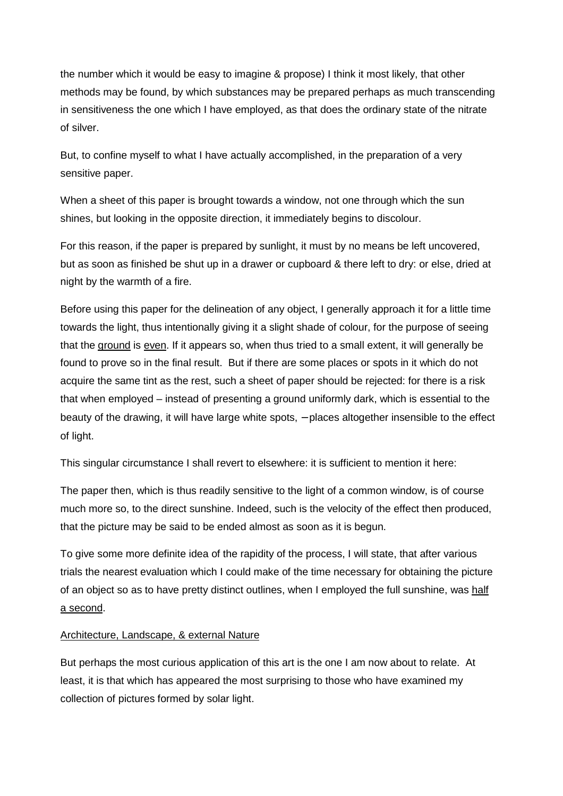the number which it would be easy to imagine & propose) I think it most likely, that other methods may be found, by which substances may be prepared perhaps as much transcending in sensitiveness the one which I have employed, as that does the ordinary state of the nitrate of silver.

But, to confine myself to what I have actually accomplished, in the preparation of a very sensitive paper.

When a sheet of this paper is brought towards a window, not one through which the sun shines, but looking in the opposite direction, it immediately begins to discolour.

For this reason, if the paper is prepared by sunlight, it must by no means be left uncovered, but as soon as finished be shut up in a drawer or cupboard & there left to dry: or else, dried at night by the warmth of a fire.

Before using this paper for the delineation of any object, I generally approach it for a little time towards the light, thus intentionally giving it a slight shade of colour, for the purpose of seeing that the ground is even. If it appears so, when thus tried to a small extent, it will generally be found to prove so in the final result. But if there are some places or spots in it which do not acquire the same tint as the rest, such a sheet of paper should be rejected: for there is a risk that when employed – instead of presenting a ground uniformly dark, which is essential to the beauty of the drawing, it will have large white spots, – places altogether insensible to the effect of light.

This singular circumstance I shall revert to elsewhere: it is sufficient to mention it here:

The paper then, which is thus readily sensitive to the light of a common window, is of course much more so, to the direct sunshine. Indeed, such is the velocity of the effect then produced, that the picture may be said to be ended almost as soon as it is begun.

To give some more definite idea of the rapidity of the process, I will state, that after various trials the nearest evaluation which I could make of the time necessary for obtaining the picture of an object so as to have pretty distinct outlines, when I employed the full sunshine, was half a second.

## Architecture, Landscape, & external Nature

But perhaps the most curious application of this art is the one I am now about to relate. At least, it is that which has appeared the most surprising to those who have examined my collection of pictures formed by solar light.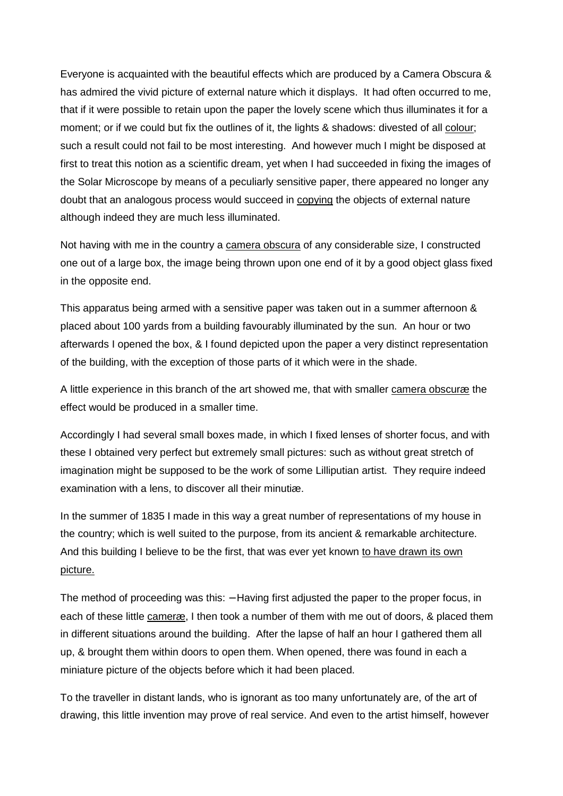Everyone is acquainted with the beautiful effects which are produced by a Camera Obscura & has admired the vivid picture of external nature which it displays. It had often occurred to me, that if it were possible to retain upon the paper the lovely scene which thus illuminates it for a moment; or if we could but fix the outlines of it, the lights & shadows: divested of all colour; such a result could not fail to be most interesting. And however much I might be disposed at first to treat this notion as a scientific dream, yet when I had succeeded in fixing the images of the Solar Microscope by means of a peculiarly sensitive paper, there appeared no longer any doubt that an analogous process would succeed in copying the objects of external nature although indeed they are much less illuminated.

Not having with me in the country a camera obscura of any considerable size, I constructed one out of a large box, the image being thrown upon one end of it by a good object glass fixed in the opposite end.

This apparatus being armed with a sensitive paper was taken out in a summer afternoon & placed about 100 yards from a building favourably illuminated by the sun. An hour or two afterwards I opened the box, & I found depicted upon the paper a very distinct representation of the building, with the exception of those parts of it which were in the shade.

A little experience in this branch of the art showed me, that with smaller camera obscuræ the effect would be produced in a smaller time.

Accordingly I had several small boxes made, in which I fixed lenses of shorter focus, and with these I obtained very perfect but extremely small pictures: such as without great stretch of imagination might be supposed to be the work of some Lilliputian artist. They require indeed examination with a lens, to discover all their minutiæ.

In the summer of 1835 I made in this way a great number of representations of my house in the country; which is well suited to the purpose, from its ancient & remarkable architecture. And this building I believe to be the first, that was ever yet known to have drawn its own picture.

The method of proceeding was this: – Having first adjusted the paper to the proper focus, in each of these little cameræ, I then took a number of them with me out of doors, & placed them in different situations around the building. After the lapse of half an hour I gathered them all up, & brought them within doors to open them. When opened, there was found in each a miniature picture of the objects before which it had been placed.

To the traveller in distant lands, who is ignorant as too many unfortunately are, of the art of drawing, this little invention may prove of real service. And even to the artist himself, however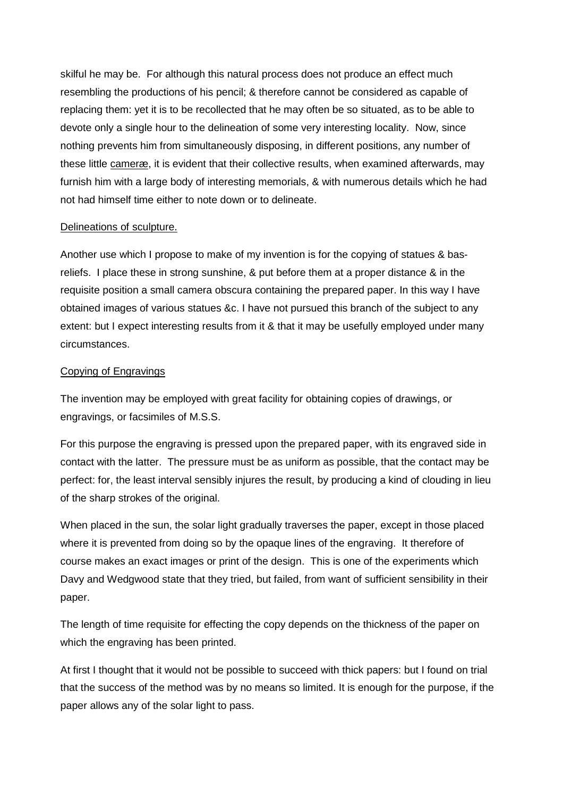skilful he may be. For although this natural process does not produce an effect much resembling the productions of his pencil; & therefore cannot be considered as capable of replacing them: yet it is to be recollected that he may often be so situated, as to be able to devote only a single hour to the delineation of some very interesting locality. Now, since nothing prevents him from simultaneously disposing, in different positions, any number of these little cameræ, it is evident that their collective results, when examined afterwards, may furnish him with a large body of interesting memorials, & with numerous details which he had not had himself time either to note down or to delineate.

### Delineations of sculpture.

Another use which I propose to make of my invention is for the copying of statues & basreliefs. I place these in strong sunshine, & put before them at a proper distance & in the requisite position a small camera obscura containing the prepared paper. In this way I have obtained images of various statues &c. I have not pursued this branch of the subject to any extent: but I expect interesting results from it & that it may be usefully employed under many circumstances.

### Copying of Engravings

The invention may be employed with great facility for obtaining copies of drawings, or engravings, or facsimiles of M.S.S.

For this purpose the engraving is pressed upon the prepared paper, with its engraved side in contact with the latter. The pressure must be as uniform as possible, that the contact may be perfect: for, the least interval sensibly injures the result, by producing a kind of clouding in lieu of the sharp strokes of the original.

When placed in the sun, the solar light gradually traverses the paper, except in those placed where it is prevented from doing so by the opaque lines of the engraving. It therefore of course makes an exact images or print of the design. This is one of the experiments which Davy and Wedgwood state that they tried, but failed, from want of sufficient sensibility in their paper.

The length of time requisite for effecting the copy depends on the thickness of the paper on which the engraving has been printed.

At first I thought that it would not be possible to succeed with thick papers: but I found on trial that the success of the method was by no means so limited. It is enough for the purpose, if the paper allows any of the solar light to pass.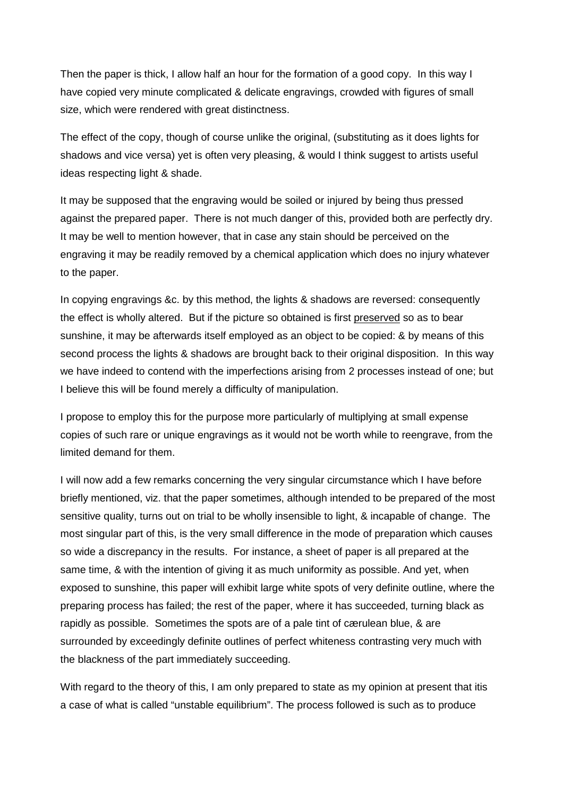Then the paper is thick, I allow half an hour for the formation of a good copy. In this way I have copied very minute complicated & delicate engravings, crowded with figures of small size, which were rendered with great distinctness.

The effect of the copy, though of course unlike the original, (substituting as it does lights for shadows and vice versa) yet is often very pleasing, & would I think suggest to artists useful ideas respecting light & shade.

It may be supposed that the engraving would be soiled or injured by being thus pressed against the prepared paper. There is not much danger of this, provided both are perfectly dry. It may be well to mention however, that in case any stain should be perceived on the engraving it may be readily removed by a chemical application which does no injury whatever to the paper.

In copying engravings &c. by this method, the lights & shadows are reversed: consequently the effect is wholly altered. But if the picture so obtained is first preserved so as to bear sunshine, it may be afterwards itself employed as an object to be copied: & by means of this second process the lights & shadows are brought back to their original disposition. In this way we have indeed to contend with the imperfections arising from 2 processes instead of one; but I believe this will be found merely a difficulty of manipulation.

I propose to employ this for the purpose more particularly of multiplying at small expense copies of such rare or unique engravings as it would not be worth while to reengrave, from the limited demand for them.

I will now add a few remarks concerning the very singular circumstance which I have before briefly mentioned, viz. that the paper sometimes, although intended to be prepared of the most sensitive quality, turns out on trial to be wholly insensible to light, & incapable of change. The most singular part of this, is the very small difference in the mode of preparation which causes so wide a discrepancy in the results. For instance, a sheet of paper is all prepared at the same time, & with the intention of giving it as much uniformity as possible. And yet, when exposed to sunshine, this paper will exhibit large white spots of very definite outline, where the preparing process has failed; the rest of the paper, where it has succeeded, turning black as rapidly as possible. Sometimes the spots are of a pale tint of cærulean blue, & are surrounded by exceedingly definite outlines of perfect whiteness contrasting very much with the blackness of the part immediately succeeding.

With regard to the theory of this, I am only prepared to state as my opinion at present that itis a case of what is called "unstable equilibrium". The process followed is such as to produce